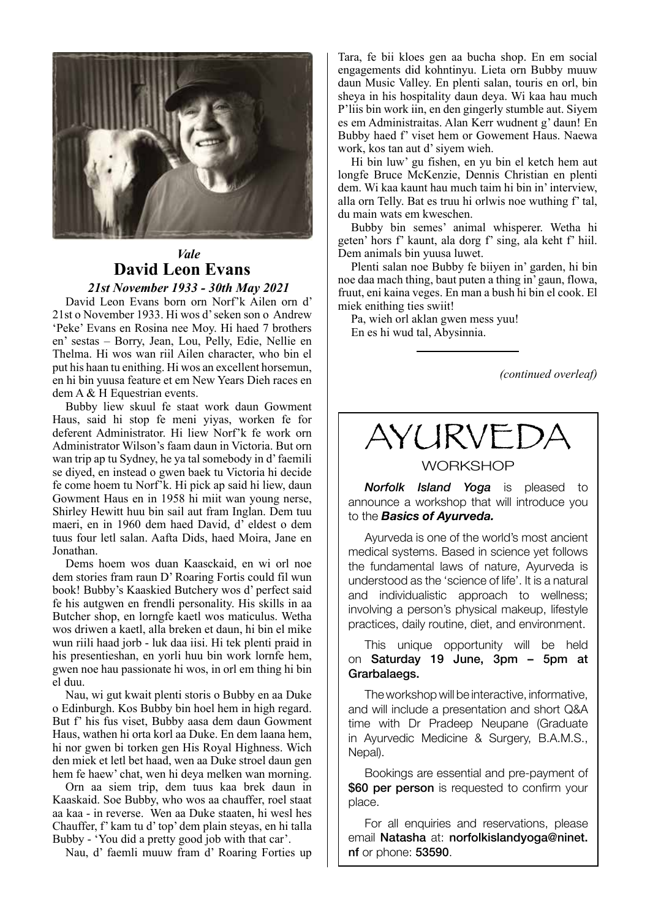

### *Vale Vale* **David Leon Evans David Leon Evans**

**21st November 1933 - 30th May 2021** 

David Leon Evans born orn Norf'k Ailen orn d' David Leon Evans born orn Norf'k Ailen orn d' 21st o November 1933. Hi wos d' seken son o Andrew 'Peke' Evans en Rosina nee Moy. Hi haed 7 brothers 'Peke' Evans en Rosina nee Moy. Hi haed 7 brothers en' sestas – Borry, Jean, Lou, Pelly, Edie, Nellie en en' sestas – Borry, Jean, Lou, Pelly, Edie, Nellie en Thelma. Hi wos wan riil Ailen character, who bin el Thelma. Hi wos wan riil Ailen character, who bin el put his haan tu enithing. Hi wos an excellent horsemun, put his haan tu enithing. Hi wos an excellent horsemun, en hi bin yuusa feature et em New Years Dieh races en en hi bin yuusa feature et em New Years Dieh races en dem A  $\&$  H Equestrian events.

Bubby liew skuul fe staat work daun Gowment Bubby liew skuul fe staat work daun Gowment Haus, said hi stop fe meni yiyas, worken fe for Haus, said hi stop fe meni yiyas, worken fe for deferent Administrator. Hi liew Norf'k fe work orn deferent Administrator. Hi liew Norf'k fe work orn Administrator Wilson's faam daun in Victoria. But orn Administrator Wilson's faam daun in Victoria. But orn wan trip ap tu Sydney, he ya tal somebody in d' faemili wan trip ap tu Sydney, he ya tal somebody in d' faemili se diyed, en instead o gwen baek tu Victoria hi decide se diyed, en instead o gwen baek tu Victoria hi decide fe come hoem tu Norf'k. Hi pick ap said hi liew, daun Gowment Haus en in 1958 hi miit wan young nerse,<br>Skiel yn Haustin 1958 hi mit wan young nerse, Shirley Hewitt huu bin sail aut fram Inglan. Dem tuu Shirley Hewitt huu bin sail aut fram Inglan. Dem tuu maeri, en in 1960 dem haed David, d' eldest o dem tuus four letl salan. Aafta Dids, haed Moira, Jane en maeri, en in 1960 dem haed David, d' eldest o dem Jonathan. tuus four letl salan. Aafta Dids, haed Moira, Jane en

Dems hoem wos duan Kaasckaid, en wi orl noe Jonathan. dem stories fram raun D' Roaring Fortis could fil wun Dems hoem wos duan Kaasckaid, en wi orl noe book! Bubby's Kaaskied Butchery wos d' perfect said dem stories fram raun D' Roaring Fortis could fil wun book! Bubby's Kaaskied Butchery wos d' perfect said fe his autgwen en frendli personality. His skills in aa Fe his autgwen en frendri personality. His skills in aa<br>Butcher shop, en lorngfe kaetl wos maticulus. Wetha wos driwen a kaetl, alla breken et daun, hi bin el mike Butcher shop, en lorngfe kaetl wos maticulus. Wetha wos driwen a kaeti, and breken et daun, in bin el inke<br>wun riili haad jorb - luk daa iisi. Hi tek plenti praid in wun riili haad jorb - lak daa iisi. Hi tek plenti praid in his presentieshan, en yorli huu bin work lornfe hem, ms presenteshan, en yorli had om work lorne hem, gwen noe hau passionate hi wos, in orl em thing hi bin el duu. gwen noe hau passionate hi wos, in orl em thing hi bin

Nau, wi gut kwait plenti storis o Bubby en aa Duke o Edinburgh. Kos Bubby bin hoel hem in high regard. Nau, wi gut kwait plenti storis o Bubby en aa Duke But f' his fus viset, Bubby aasa dem daun Gowment Haus, wathen hi orta korl aa Duke. En dem laana hem, hi nor gwen bi torken gen His Royal Highness. Wich den miek et letl bet haad, wen aa Duke stroel daun gen hem fe haew' chat, wen hi deya melken wan morning.

Orn aa siem trip, dem tuus kaa brek daun in Kaaskaid. Soe Bubby, who wos aa chauffer, roel staat aa kaa - in reverse. Wen aa Duke staaten, hi wesl hes Chauffer, f' kam tu d' top' dem plain steyas, en hi talla Bubby - 'You did a pretty good job with that car'.

Nau, d' faemli muuw fram d' Roaring Forties up Nau, d' faemli muuw fram d' Roaring Forties up Tara, fe bii kloes gen aa bucha shop. En em social Tara, fe bii kloes gen aa bucha shop. En em social engagements did kohntinyu. Lieta orn Bubby muuw engagements did kohntinyu. Lieta orn Bubby muuw daun Music Valley. En plenti salan, touris en orl, bin daun Music Valley. En plenti salan, touris en orl, bin sheya in his hospitality daun deya. Wi kaa hau much sheya in his hospitality daun deya. Wi kaa hau much P'liis bin work iin, en den gingerly stumble aut. Siyem P'liis bin work iin, en den gingerly stumble aut. Siyem es em Administraitas. Alan Kerr wudnent g' daun! En Bubby haed f' viset hem or Gowement Haus. Naewa Bubby haed f' viset hem or Gowement Haus. Naewa work, kos tan aut d' siyem wieh. work, kos tan aut d' siyem wieh.

Hi bin luw' gu fishen, en yu bin el ketch hem aut Hi bin luw' gu fishen, en yu bin el ketch hem aut longfe Bruce McKenzie, Dennis Christian en plenti longfe Bruce McKenzie, Dennis Christian en plenti dem. Wi kaa kaunt hau much taim hi bin in' interview, dem. Wi kaa kaunt hau much taim hi bin in' interview, alla orn Telly. Bat es truu hi orlwis noe wuthing f' tal, alla orn Telly. Bat es truu hi orlwis noe wuthing f' tal, du main wats em kweschen. du main wats em kweschen.

Bubby bin semes' animal whisperer. Wetha hi Bubby bin semes' animal whisperer. Wetha hi geten' hors f' kaunt, ala dorg f' sing, ala keht f' hiil. geten' hors f' kaunt, ala dorg f' sing, ala keht f' hiil. Dem animals bin yuusa luwet. Dem animals bin yuusa luwet.

Plenti salan noe Bubby fe biiyen in' garden, hi bin Plenti salan noe Bubby fe biiyen in' garden, hi bin noe daa mach thing, baut puten a thing in' gaun, flowa, noe daa mach thing, baut puten a thing in' gaun, flowa, fruut, eni kaina veges. En man a bush hi bin el cook. El fruut, eni kaina veges. En man a bush hi bin el cook. El miek enithing ties swiit! miek enithing ties swiit!

Pa, wieh orl aklan gwen mess yuu! Pa, wieh orl aklan gwen mess yuu! En es hi wud tal, Abysinnia. En es hi wud tal, Abysinnia.

*(continued overleaf) (continued overleaf)*

AYURVEDA AYURVEDA

# WORKSHOP WORKSHOP

*Norfolk Island Yoga* is pleased to *Norfolk Island Yoga* is pleased to announce a workshop that will introduce you announce a workshop that will introduce you to the *Basics of Ayurveda.* to the *Basics of Ayurveda.*

Ayurveda is one of the world's most ancient Ayurveda is one of the world's most ancient medical systems. Based in science yet follows medical systems. Based in science yet follows the fundamental laws of nature, Ayurveda is<br>the fundamental laws of nature, Ayurveda is understood as the 'science of life'. It is a natural and individualistic approach to wellness; and individualistic approach to wellness; involving a person's physical makeup, lifestyle involving a person's physical makeup, lifestyle practices, daily routine, diet, and environment. practices, daily routine, diet, and environment. understood as the 'science of life'. It is a natural

This unique opportunity will be held on Saturday 19 June, 3pm – 5pm at on Saturday 19 June, 3pm – 5pm at Grarbalaegs. Grarbalaegs. This unique opportunity will be held

The workshop will be interactive, informative, and will include a presentation and short Q&A and will include a presentation and short Q&A time with Dr Pradeep Neupane (Graduate mite with Dr Pradeep Presipente (Graduate in Ayurvedic Medicine & Surgery, B.A.M.S., in Ayurvedic Medicine & Surgery, B.A.M.S.,<br>Nanali The workshop will be interactive, informative, Nepal).

 $\frac{1}{2}$ . \$60 per person is requested to confirm your  $\frac{1}{2}$ ber person is requested to confidence to confidence to confidence to confidence to confidence to confidence to confidence the set of  $\frac{1}{2}$ Bookings are essential and pre-payment of place.

 $p = 1$ email Natasha at: norfolkislandyoga@ninet.  $n$ f or phone:  $53590$ . nf or phone: 53590. For all enquiries and reservations, please